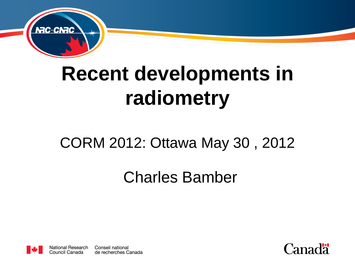

# **Recent developments in radiometry**

#### CORM 2012: Ottawa May 30 , 2012

#### Charles Bamber



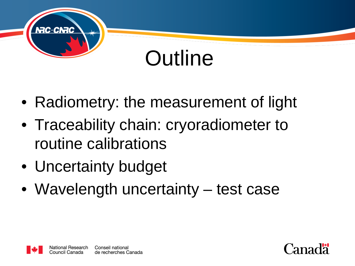

# **Outline**

- Radiometry: the measurement of light
- Traceability chain: cryoradiometer to routine calibrations
- Uncertainty budget
- Wavelength uncertainty test case



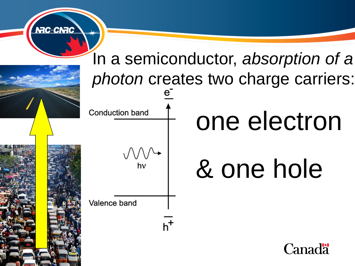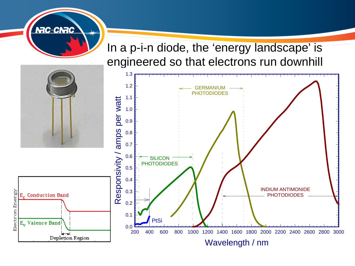In a p-i-n diode, the 'energy landscape' is engineered so that electrons run downhill



**NRC-CNRC**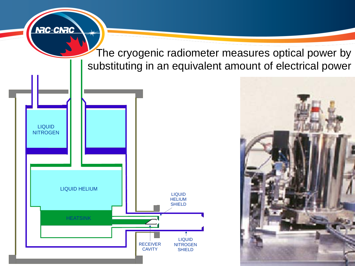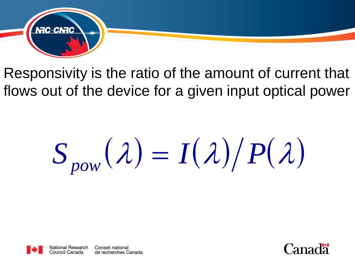

Responsivity is the ratio of the amount of current that flows out of the device for a given input optical power

 $S_{now}(\lambda) = I(\lambda)/P(\lambda)$ 



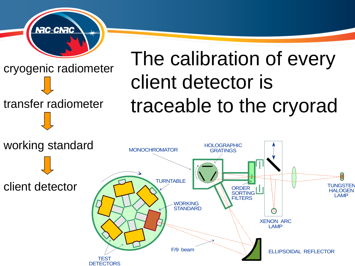

transfer radiometer

# The calibration of every client detector is traceable to the cryorad

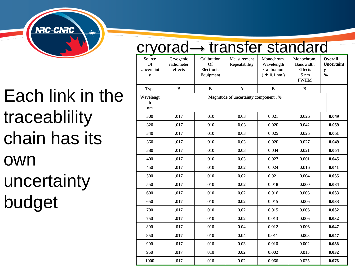

## Each link in the traceablility chain has its own uncertainty budget

|                     | rvorad $\rightarrow$ transfer standard |                                       |                                              |                              |                                                          |                                                                                   |                                                           |
|---------------------|----------------------------------------|---------------------------------------|----------------------------------------------|------------------------------|----------------------------------------------------------|-----------------------------------------------------------------------------------|-----------------------------------------------------------|
|                     | Source<br>Of<br>Uncertaint<br>y        | Cryogenic<br>radiometer<br>effects    | Calibration<br>Of<br>Electronic<br>Equipment | Measurement<br>Repeatability | Monochrom.<br>Wavelength<br>Calibration<br>$\pm$ 0.1 nm) | Monochrom.<br><b>Bandwidth</b><br><b>Effects</b><br>$5 \text{ nm}$<br><b>FWHM</b> | <b>Overall</b><br><b>Uncertaint</b><br>y<br>$\frac{0}{0}$ |
|                     | Type                                   | B                                     | B                                            | $\mathbf{A}$                 | B                                                        | $\bf{B}$                                                                          |                                                           |
| ach link in the     | Wavelengt<br>ħ                         | Magnitude of uncertainty component, % |                                              |                              |                                                          |                                                                                   |                                                           |
|                     | nm                                     |                                       |                                              |                              |                                                          |                                                                                   |                                                           |
| aceablility         | 300                                    | .017                                  | .010                                         | 0.03                         | 0.021                                                    | 0.026                                                                             | 0.049                                                     |
|                     | 320                                    | .017                                  | .010                                         | 0.03                         | 0.020                                                    | 0.042                                                                             | 0.059                                                     |
| ain has its         | 340                                    | .017                                  | .010                                         | 0.03                         | 0.025                                                    | 0.025                                                                             | 0.051                                                     |
|                     | 360                                    | .017                                  | .010                                         | 0.03                         | 0.020                                                    | 0.027                                                                             | 0.049                                                     |
|                     | 380                                    | .017                                  | .010                                         | 0.03                         | 0.034                                                    | 0.021                                                                             | 0.054                                                     |
| /N                  | 400                                    | .017                                  | .010                                         | 0.03                         | 0.027                                                    | 0.001                                                                             | 0.045                                                     |
|                     | 450                                    | .017                                  | .010                                         | 0.02                         | 0.024                                                    | 0.016                                                                             | 0.041                                                     |
|                     | 500                                    | .017<br>.017                          | .010<br>.010                                 | 0.02<br>0.02                 | 0.021<br>0.018                                           | 0.004<br>0.000                                                                    | 0.035<br>0.034                                            |
|                     | 550<br>600                             | .017                                  | .010                                         | 0.02                         | 0.016                                                    | 0.003                                                                             | 0.033                                                     |
|                     | 650                                    | .017                                  | .010                                         | 0.02                         | 0.015                                                    | 0.006                                                                             | 0.033                                                     |
| icertainty<br>idget | 700                                    | .017                                  | .010                                         | 0.02                         | 0.015                                                    | 0.006                                                                             | 0.032                                                     |
|                     | 750                                    | .017                                  | .010                                         | 0.02                         | 0.013                                                    | 0.006                                                                             | 0.032                                                     |
|                     | 800                                    | .017                                  | .010                                         | 0.04                         | 0.012                                                    | 0.006                                                                             | 0.047                                                     |
|                     | 850                                    | .017                                  | .010                                         | 0.04                         | 0.011                                                    | 0.008                                                                             | 0.047                                                     |
|                     | 900                                    | .017                                  | .010                                         | 0.03                         | 0.010                                                    | 0.002                                                                             | 0.038                                                     |
|                     | 950                                    | .017                                  | .010                                         | 0.02                         | 0.002                                                    | 0.015                                                                             | 0.032                                                     |
|                     | 1000                                   | .017                                  | .010                                         | 0.02                         | 0.066                                                    | 0.025                                                                             | 0.076                                                     |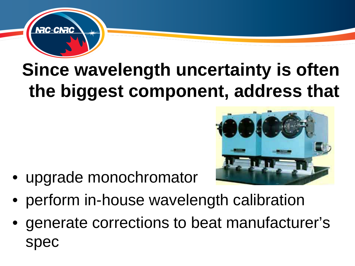

## **Since wavelength uncertainty is often the biggest component, address that**

• upgrade monochromator



- perform in-house wavelength calibration
- generate corrections to beat manufacturer's spec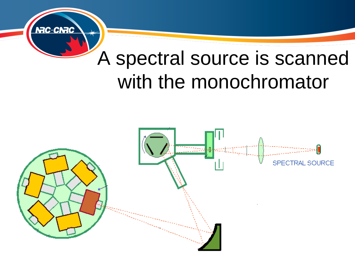

## A spectral source is scanned with the monochromator

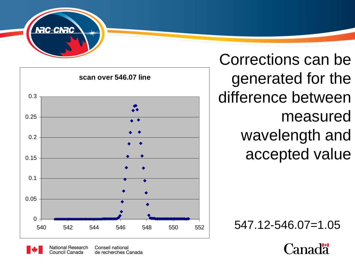



Corrections can be generated for the difference between measured wavelength and accepted value

547.12-546.07=1.05



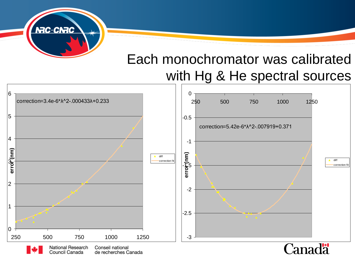

#### Each monochromator was calibrated with Hg & He spectral sources

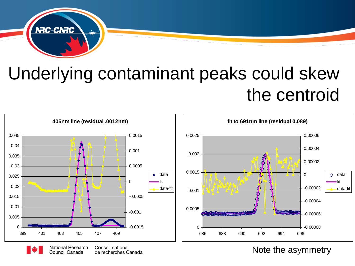

### Underlying contaminant peaks could skew the centroid



Note the asymmetry

Conseil national **Personalization of IV and Separate Science in Separate Science Science SCISS**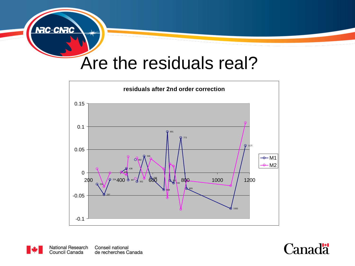

#### Are the residuals real?





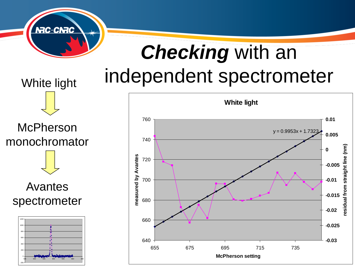

# *Checking* with an independent spectrometer

**McPherson** monochromator

White light

Avantes spectrometer



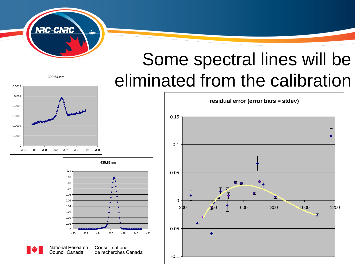

## Some spectral lines will be eliminated from the calibration







**National Research** 

Conseil national